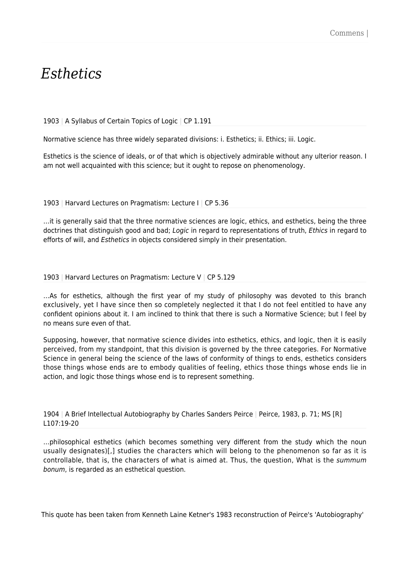# *Esthetics*

# 1903 | A Syllabus of Certain Topics of Logic | CP 1.191

Normative science has three widely separated divisions: i. Esthetics; ii. Ethics; iii. Logic.

Esthetics is the science of ideals, or of that which is objectively admirable without any ulterior reason. I am not well acquainted with this science; but it ought to repose on phenomenology.

### 1903 | Harvard Lectures on Pragmatism: Lecture I | CP 5.36

…it is generally said that the three normative sciences are logic, ethics, and esthetics, being the three doctrines that distinguish good and bad; Logic in regard to representations of truth, Ethics in regard to efforts of will, and Esthetics in objects considered simply in their presentation.

### 1903 | Harvard Lectures on Pragmatism: Lecture V | CP 5.129

…As for esthetics, although the first year of my study of philosophy was devoted to this branch exclusively, yet I have since then so completely neglected it that I do not feel entitled to have any confident opinions about it. I am inclined to think that there is such a Normative Science; but I feel by no means sure even of that.

Supposing, however, that normative science divides into esthetics, ethics, and logic, then it is easily perceived, from my standpoint, that this division is governed by the three categories. For Normative Science in general being the science of the laws of conformity of things to ends, esthetics considers those things whose ends are to embody qualities of feeling, ethics those things whose ends lie in action, and logic those things whose end is to represent something.

1904 | A Brief Intellectual Autobiography by Charles Sanders Peirce | Peirce, 1983, p. 71; MS [R] L107:19-20

…philosophical esthetics (which becomes something very different from the study which the noun usually designates)[,] studies the characters which will belong to the phenomenon so far as it is controllable, that is, the characters of what is aimed at. Thus, the question, What is the summum bonum, is regarded as an esthetical question.

This quote has been taken from Kenneth Laine Ketner's 1983 reconstruction of Peirce's 'Autobiography'